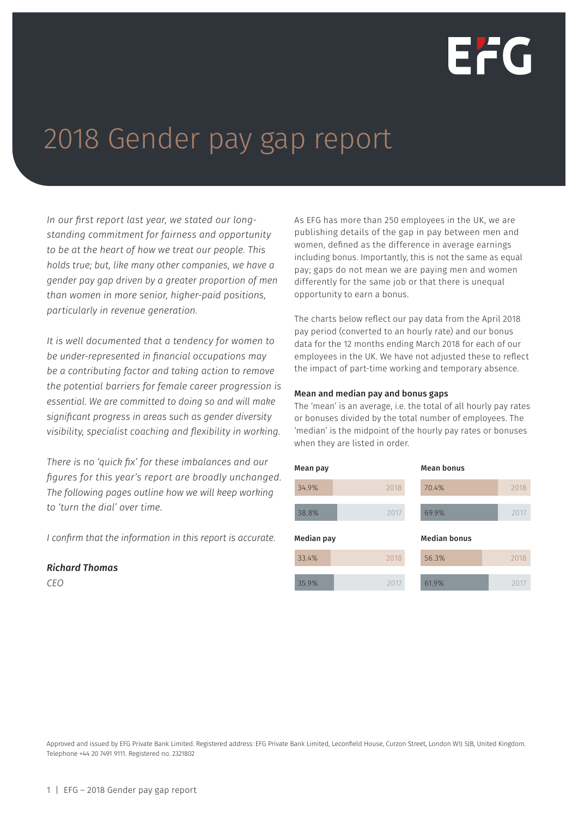

# 2018 Gender pay gap report

*In our first report last year, we stated our longstanding commitment for fairness and opportunity to be at the heart of how we treat our people. This holds true; but, like many other companies, we have a gender pay gap driven by a greater proportion of men than women in more senior, higher-paid positions, particularly in revenue generation.* 

*It is well documented that a tendency for women to be under-represented in financial occupations may be a contributing factor and taking action to remove the potential barriers for female career progression is essential. We are committed to doing so and will make significant progress in areas such as gender diversity visibility, specialist coaching and flexibility in working.* 

*There is no 'quick fix' for these imbalances and our figures for this year's report are broadly unchanged. The following pages outline how we will keep working to 'turn the dial' over time.* 

*I confirm that the information in this report is accurate.* 

### *Richard Thomas*

*CEO*

As EFG has more than 250 employees in the UK, we are publishing details of the gap in pay between men and women, defined as the difference in average earnings including bonus. Importantly, this is not the same as equal pay; gaps do not mean we are paying men and women differently for the same job or that there is unequal opportunity to earn a bonus.

The charts below reflect our pay data from the April 2018 pay period (converted to an hourly rate) and our bonus data for the 12 months ending March 2018 for each of our employees in the UK. We have not adjusted these to reflect the impact of part-time working and temporary absence.

### Mean and median pay and bonus gaps

The 'mean' is an average, i.e. the total of all hourly pay rates or bonuses divided by the total number of employees. The 'median' is the midpoint of the hourly pay rates or bonuses when they are listed in order.

| Mean pay   |      | <b>Mean bonus</b>   |      |
|------------|------|---------------------|------|
| 34.9%      | 2018 | 70.4%               | 2018 |
| 38.8%      | 2017 | 69.9%               | 2017 |
|            |      |                     |      |
| Median pay |      | <b>Median bonus</b> |      |
| 33.4%      | 2018 | 56.3%               | 2018 |

Approved and issued by EFG Private Bank Limited. Registered address: EFG Private Bank Limited, Leconfield House, Curzon Street, London W1J 5JB, United Kingdom. Telephone +44 20 7491 9111. Registered no. 2321802